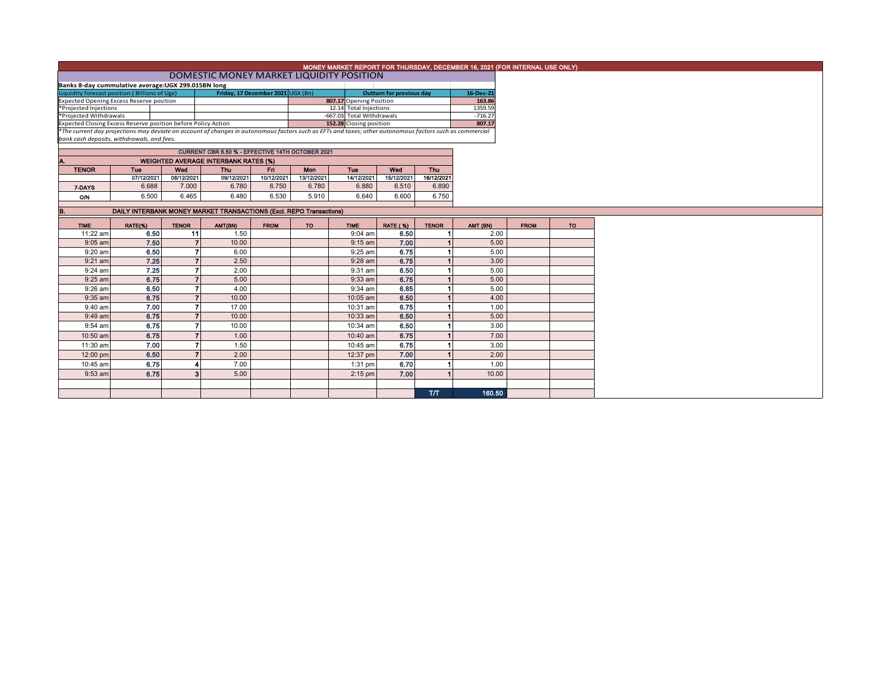|                                                                                                                                                                                                                           |                                                                     |                        |                                                  |                         |                           |                                 |                 |                      | MONEY MARKET REPORT FOR THURSDAY, DECEMBER 16, 2021 (FOR INTERNAL USE ONLY) |             |                 |
|---------------------------------------------------------------------------------------------------------------------------------------------------------------------------------------------------------------------------|---------------------------------------------------------------------|------------------------|--------------------------------------------------|-------------------------|---------------------------|---------------------------------|-----------------|----------------------|-----------------------------------------------------------------------------|-------------|-----------------|
|                                                                                                                                                                                                                           |                                                                     |                        | DOMESTIC MONEY MARKET LIQUIDITY POSITION         |                         |                           |                                 |                 |                      |                                                                             |             |                 |
| Banks 8-day cummulative average: UGX 299.015BN long                                                                                                                                                                       |                                                                     |                        |                                                  |                         |                           |                                 |                 |                      |                                                                             |             |                 |
| Liquidity forecast position (Billions of Ugx)<br>Friday, 17 December 2021 UGX (Bn)                                                                                                                                        |                                                                     |                        |                                                  |                         |                           | <b>Outturn for previous day</b> |                 | 16-Dec-21            |                                                                             |             |                 |
| <b>Expected Opening Excess Reserve position</b>                                                                                                                                                                           |                                                                     |                        |                                                  | 807.17 Opening Position |                           |                                 | 163.86          |                      |                                                                             |             |                 |
| *Projected Injections                                                                                                                                                                                                     |                                                                     | 12.14 Total Injections |                                                  |                         |                           | 1359.59                         |                 |                      |                                                                             |             |                 |
| *Projected Withdrawals                                                                                                                                                                                                    |                                                                     |                        |                                                  |                         | -667.03 Total Withdrawals |                                 |                 | $-716.27$            |                                                                             |             |                 |
| Expected Closing Excess Reserve position before Policy Action<br>*The current day projections may deviate on account of changes in autonomous factors such as EFTs and taxes; other autonomous factors such as commercial |                                                                     |                        |                                                  |                         | 152.28 Closing position   |                                 |                 | 807.17               |                                                                             |             |                 |
|                                                                                                                                                                                                                           |                                                                     |                        |                                                  |                         |                           |                                 |                 |                      |                                                                             |             |                 |
| bank cash deposits, withdrawals, and fees.                                                                                                                                                                                |                                                                     |                        |                                                  |                         |                           |                                 |                 |                      |                                                                             |             |                 |
|                                                                                                                                                                                                                           |                                                                     |                        | CURRENT CBR 6.50 % - EFFECTIVE 14TH OCTOBER 2021 |                         |                           |                                 |                 |                      |                                                                             |             |                 |
| Α.                                                                                                                                                                                                                        |                                                                     |                        | <b>WEIGHTED AVERAGE INTERBANK RATES (%)</b>      |                         |                           |                                 |                 |                      |                                                                             |             |                 |
| <b>TENOR</b>                                                                                                                                                                                                              | Tue                                                                 | Wed                    | <b>Thu</b>                                       | Fn.                     | Mon                       | Tue                             | Wed             | <b>Thu</b>           |                                                                             |             |                 |
|                                                                                                                                                                                                                           | 07/12/2021                                                          | 08/12/2021             | 09/12/2021                                       | 10/12/2021              | 13/12/2021                | 14/12/2021                      | 15/12/2021      | 16/12/2021           |                                                                             |             |                 |
| 7 DAYS                                                                                                                                                                                                                    | 6.688                                                               | 7.000                  | 6.780                                            | 6.750                   | 6.780                     | 6.880                           | 6.510           | 6.890                |                                                                             |             |                 |
| O/N                                                                                                                                                                                                                       | 6.500                                                               | 6.465                  | 6.480                                            | 6.530                   | 5.910                     | 6.640                           | 6.600           | 6.750                |                                                                             |             |                 |
|                                                                                                                                                                                                                           |                                                                     |                        |                                                  |                         |                           |                                 |                 |                      |                                                                             |             |                 |
| В.                                                                                                                                                                                                                        | DAILY INTERBANK MONEY MARKET TRANSACTIONS (Excl. REPO Transactions) |                        |                                                  |                         |                           |                                 |                 |                      |                                                                             |             |                 |
| <b>TIME</b>                                                                                                                                                                                                               | RATE(%)                                                             | <b>TENOR</b>           | AMT(BN)                                          | <b>FROM</b>             | <b>TO</b>                 | <b>TIME</b>                     | <b>RATE (%)</b> | <b>TENOR</b>         | AMT (BN)                                                                    | <b>FROM</b> | TO <sub>1</sub> |
| 11:22 am                                                                                                                                                                                                                  | 6.50                                                                | 11                     | 1.50                                             |                         |                           | $9:04$ am                       | 6.50            | $\mathbf{1}$         | 2.00                                                                        |             |                 |
| $9:05$ am                                                                                                                                                                                                                 | 7.50                                                                | $\overline{7}$         | 10.00                                            |                         |                           | $9:15$ am                       | 7.00            | $\blacksquare$       | 5.00                                                                        |             |                 |
| $9:20$ am                                                                                                                                                                                                                 | 6.50                                                                | $\overline{7}$         | 6.00                                             |                         |                           | $9:25$ am                       | 6.75            | $\blacktriangleleft$ | 5.00                                                                        |             |                 |
| $9:21$ am                                                                                                                                                                                                                 | 7.25                                                                | $\overline{7}$         | 2.50                                             |                         |                           | $9:28$ am                       | 6.75            | $\vert$              | 3.00                                                                        |             |                 |
| 9:24 am                                                                                                                                                                                                                   | 7.25                                                                | $\overline{7}$         | 2.00                                             |                         |                           | 9:31 am                         | 6.50            | $\blacktriangleleft$ | 5.00                                                                        |             |                 |
| $9:25$ am                                                                                                                                                                                                                 | 6.75                                                                | $\overline{7}$         | 5.00                                             |                         |                           | $9:33$ am                       | 6.75            |                      | 5.00                                                                        |             |                 |
| 9:26 am                                                                                                                                                                                                                   | 6.50                                                                | $\overline{7}$         | 4.00                                             |                         |                           | 9:34 am                         | 6.85            |                      | 5.00                                                                        |             |                 |
| $9:35$ am                                                                                                                                                                                                                 | 6.75                                                                | $\overline{7}$         | 10.00                                            |                         |                           | 10:05 am                        | 6.50            |                      | 4.00                                                                        |             |                 |
| $9:40$ am                                                                                                                                                                                                                 | 7.00                                                                | $\overline{7}$         | 17.00                                            |                         |                           | 10:31 am                        | 6.75            |                      | 1.00                                                                        |             |                 |
| $9:49$ am                                                                                                                                                                                                                 | 6.75                                                                | $\overline{7}$         | 10.00                                            |                         |                           | 10:33 am                        | 6.50            |                      | 5.00                                                                        |             |                 |
| $9:54$ am                                                                                                                                                                                                                 | 6.75                                                                | $\overline{7}$         | 10.00                                            |                         |                           | 10:34 am                        | 6.50            |                      | 3.00                                                                        |             |                 |
| 10:50 am                                                                                                                                                                                                                  | 6.75                                                                | $\overline{7}$         | 1.00                                             |                         |                           | 10:40 am                        | 6.75            |                      | 7.00                                                                        |             |                 |
| 11:30 am                                                                                                                                                                                                                  | 7.00                                                                | 7                      | 1.50                                             |                         |                           | 10:45 am                        | 6.75            |                      | 3.00                                                                        |             |                 |
| 12:00 pm                                                                                                                                                                                                                  | 6.50                                                                | $\overline{7}$         | 2.00                                             |                         |                           | 12:37 pm                        | 7.00            |                      | 2.00                                                                        |             |                 |
| 10:45 am                                                                                                                                                                                                                  | 6.75                                                                | 4                      | 7.00                                             |                         |                           | $1:31$ pm                       | 6.70            | $\blacktriangleleft$ | 1.00                                                                        |             |                 |
| $9:53$ am                                                                                                                                                                                                                 | 6.75                                                                | $\mathbf{3}$           | 5.00                                             |                         |                           | $2:15$ pm                       | 7.00            |                      | 10.00                                                                       |             |                 |
|                                                                                                                                                                                                                           |                                                                     |                        |                                                  |                         |                           |                                 |                 |                      |                                                                             |             |                 |
|                                                                                                                                                                                                                           |                                                                     |                        |                                                  |                         |                           |                                 |                 | <b>T/T</b>           | 160.50                                                                      |             |                 |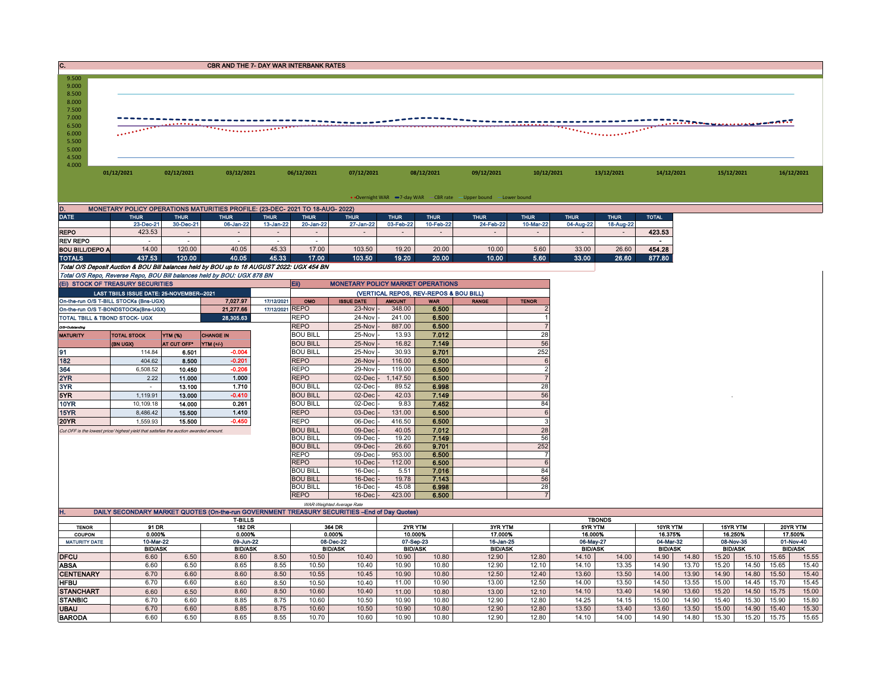| C.<br>CBR AND THE 7- DAY WAR INTERBANK RATES                                                             |                                                                                       |                  |                                                                                               |                          |                                    |                                          |                             |                                        |                             |                 |                             |                |                             |       |                             |       |       |            |
|----------------------------------------------------------------------------------------------------------|---------------------------------------------------------------------------------------|------------------|-----------------------------------------------------------------------------------------------|--------------------------|------------------------------------|------------------------------------------|-----------------------------|----------------------------------------|-----------------------------|-----------------|-----------------------------|----------------|-----------------------------|-------|-----------------------------|-------|-------|------------|
| 9.500<br>9.000<br>8.500<br>8.000<br>7.500<br>7.000<br>6.500<br>6.000<br>5.500<br>5.000<br>4.500<br>4.000 |                                                                                       |                  |                                                                                               |                          |                                    |                                          |                             |                                        |                             |                 |                             |                |                             |       | <b></b> DTA MALILLIAN MARTI |       |       |            |
|                                                                                                          | 01/12/2021                                                                            | 02/12/2021       | 03/12/2021                                                                                    |                          | 06/12/2021                         | 07/12/2021                               |                             | 08/12/2021                             | 09/12/2021                  | 10/12/2021      |                             | 13/12/2021     | 14/12/2021                  |       | 15/12/2021                  |       |       | 16/12/2021 |
|                                                                                                          | • Overnight WAR -7-day WAR - CBR rate - Upper bound -Lower bound                      |                  |                                                                                               |                          |                                    |                                          |                             |                                        |                             |                 |                             |                |                             |       |                             |       |       |            |
| D.                                                                                                       |                                                                                       |                  |                                                                                               |                          |                                    |                                          |                             |                                        |                             |                 |                             |                |                             |       |                             |       |       |            |
| <b>DATE</b>                                                                                              | <b>THUR</b>                                                                           | <b>THUR</b>      | MONETARY POLICY OPERATIONS MATURITIES PROFILE: (23-DEC- 2021 TO 18-AUG- 2022)<br><b>THUR</b>  | <b>THUR</b>              | <b>THUR</b>                        | <b>THUR</b>                              | <b>THUR</b>                 | <b>THUR</b>                            | <b>THUR</b>                 | <b>THUR</b>     | <b>THUR</b>                 | <b>THUR</b>    | <b>TOTAL</b>                |       |                             |       |       |            |
|                                                                                                          | 23-Dec-21                                                                             | 30-Dec-21        | 06-Jan-22                                                                                     | 13-Jan-22                | 20-Jan-22                          | 27-Jan-22                                | 03-Feb-22                   | 10-Feb-22                              | 24-Feb-22                   | 10-Mar-22       | 04-Aug-22                   | 18-Aug-22      |                             |       |                             |       |       |            |
| <b>REPO</b>                                                                                              | 423.53                                                                                |                  |                                                                                               | $\sim$                   | $\sim$                             |                                          |                             |                                        |                             |                 |                             |                | 423.53                      |       |                             |       |       |            |
| <b>REV REPO</b>                                                                                          | $\sim$                                                                                | $\sim$           |                                                                                               | $\overline{\phantom{a}}$ | $\epsilon$                         |                                          |                             |                                        |                             |                 |                             |                | $\blacksquare$              |       |                             |       |       |            |
| <b>BOU BILL/DEPO A</b><br><b>TOTALS</b>                                                                  | 14.00<br>437.53                                                                       | 120.00<br>120.00 | 40.05<br>40.05                                                                                | 45.33<br>45.33           | 17.00<br>17.00                     | 103.50<br>103.50                         | 19.20<br>19.20              | 20.00<br>20.00                         | 10.00<br>10.00              | 5.60<br>5.60    | 33.00<br>33.00              | 26.60<br>26.60 | 454.28<br>877.80            |       |                             |       |       |            |
|                                                                                                          |                                                                                       |                  | Total O/S Deposit Auction & BOU Bill balances held by BOU up to 18 AUGUST 2022: UGX 454 BN    |                          |                                    |                                          |                             |                                        |                             |                 |                             |                |                             |       |                             |       |       |            |
|                                                                                                          |                                                                                       |                  | Total O/S Repo, Reverse Repo, BOU Bill balances held by BOU: UGX 878 BN                       |                          |                                    |                                          |                             |                                        |                             |                 |                             |                |                             |       |                             |       |       |            |
|                                                                                                          | (EI) STOCK OF TREASURY SECURITIES                                                     |                  |                                                                                               |                          | Eii)                               | <b>MONETARY POLICY MARKET OPERATIONS</b> |                             |                                        |                             |                 |                             |                |                             |       |                             |       |       |            |
|                                                                                                          | LAST TBIILS ISSUE DATE: 25-NOVEMBER--2021                                             |                  |                                                                                               |                          |                                    |                                          |                             | (VERTICAL REPOS, REV-REPOS & BOU BILL) |                             |                 |                             |                |                             |       |                             |       |       |            |
|                                                                                                          | On-the-run O/S T-BILL STOCKs (Bns-UGX)                                                |                  | 7,027.97                                                                                      | 17/12/2021               | OMO                                | <b>ISSUE DATE</b>                        | <b>AMOUNT</b>               | <b>WAR</b>                             | <b>RANGE</b>                | <b>TENOR</b>    |                             |                |                             |       |                             |       |       |            |
|                                                                                                          | On-the-run O/S T-BONDSTOCKs(Bns-UGX)                                                  |                  | 21,277.66                                                                                     | 17/12/2021 REPO          |                                    | 23-Nov                                   | 348.00                      | 6.500                                  |                             |                 |                             |                |                             |       |                             |       |       |            |
| TOTAL TBILL & TBOND STOCK- UGX                                                                           |                                                                                       |                  | 28,305.63                                                                                     |                          | <b>REPO</b><br><b>REPO</b>         | 24-Nov                                   | 241.00                      | 6,500                                  |                             | $\overline{7}$  |                             |                |                             |       |                             |       |       |            |
| O/S=Outstanding<br><b>MATURITY</b>                                                                       | <b>TOTAL STOCK</b>                                                                    | <b>YTM (%)</b>   | <b>CHANGE IN</b>                                                                              |                          | <b>BOU BILL</b>                    | 25-Nov<br>25-Nov                         | 887.00<br>13.93             | 6.500<br>7.012                         |                             | 28              |                             |                |                             |       |                             |       |       |            |
|                                                                                                          | (BN UGX)                                                                              | AT CUT OFF*      | YTM (+/-)                                                                                     |                          | <b>BOU BILL</b>                    | 25-Nov                                   | 16.82                       | 7.149                                  |                             | 56              |                             |                |                             |       |                             |       |       |            |
| 91                                                                                                       | 114.84                                                                                | 6.501            | $-0.004$                                                                                      |                          | <b>BOU BILL</b>                    | 25-Nov                                   | 30.93                       | 9.701                                  |                             | 252             |                             |                |                             |       |                             |       |       |            |
| 182                                                                                                      | 404.62                                                                                | 8.500            | $-0.201$                                                                                      |                          | <b>REPO</b>                        | 26-Nov                                   | 116.00                      | 6.500                                  |                             | $6\phantom{1}6$ |                             |                |                             |       |                             |       |       |            |
| 364                                                                                                      | 6,508.52                                                                              | 10.450           | $-0.206$                                                                                      |                          | <b>REPO</b>                        | 29-Nov                                   | 119.00                      | 6.500                                  |                             | $\overline{2}$  |                             |                |                             |       |                             |       |       |            |
| 2YR                                                                                                      | 2.22                                                                                  | 11.000           | 1.000                                                                                         |                          | <b>REPO</b>                        | 02-Dec                                   | 1,147.50                    | 6.500                                  |                             | $\overline{7}$  |                             |                |                             |       |                             |       |       |            |
| 3YR                                                                                                      |                                                                                       | 13.100           | 1.710                                                                                         |                          | <b>BOU BILL</b>                    | 02-Dec                                   | 89.52                       | 6.998                                  |                             | 28              |                             |                |                             |       |                             |       |       |            |
| 5YR                                                                                                      | 1,119.91                                                                              | 13.000           | $-0.410$                                                                                      |                          | <b>BOU BILL</b>                    | 02-Dec                                   | 42.03                       | 7.149                                  |                             | 56              |                             |                |                             |       |                             |       |       |            |
| 10YR                                                                                                     | 10,109.18                                                                             | 14.000           | 0.261                                                                                         |                          | <b>BOU BILL</b>                    | 02-Dec                                   | 9.83                        | 7.452                                  |                             | 84              |                             |                |                             |       |                             |       |       |            |
| 15YR                                                                                                     | 8,486.42                                                                              | 15.500           | 1.410                                                                                         |                          | <b>REPO</b><br><b>REPO</b>         | 03-Dec                                   | 131.00                      | 6.500<br>6.500                         |                             | 6<br>3          |                             |                |                             |       |                             |       |       |            |
| <b>20YR</b>                                                                                              | 1,559.93                                                                              | 15.500           | $-0.450$                                                                                      |                          | <b>BOU BILL</b>                    | 06-Dec<br>09-Dec                         | 416.50<br>40.05             | 7.012                                  |                             | 28              |                             |                |                             |       |                             |       |       |            |
|                                                                                                          | Cut OFF is the lowest price/ highest yield that satisfies the auction awarded amount. |                  |                                                                                               |                          | <b>BOU BILL</b>                    | 09-Dec                                   | 19.20                       | 7.149                                  |                             | 56              |                             |                |                             |       |                             |       |       |            |
|                                                                                                          |                                                                                       |                  |                                                                                               |                          | <b>BOU BILL</b>                    | 09-Dec                                   | 26.60                       | 9.701                                  |                             | 252             |                             |                |                             |       |                             |       |       |            |
|                                                                                                          |                                                                                       |                  |                                                                                               |                          | <b>REPO</b>                        | 09-Dec                                   | 953.00                      | 6.500                                  |                             | $\overline{7}$  |                             |                |                             |       |                             |       |       |            |
|                                                                                                          |                                                                                       |                  |                                                                                               |                          | <b>REPO</b>                        | 10-Dec                                   | 112.00                      | 6.500                                  |                             | $6\phantom{1}6$ |                             |                |                             |       |                             |       |       |            |
|                                                                                                          |                                                                                       |                  |                                                                                               |                          | <b>BOU BILL</b><br><b>BOU BILL</b> | 16-Dec<br>16-Dec                         | 5.51<br>19.78               | 7.016<br>7.143                         |                             | 84<br>56        |                             |                |                             |       |                             |       |       |            |
|                                                                                                          |                                                                                       |                  |                                                                                               |                          | <b>BOU BILL</b>                    | 16-Dec                                   | 45.08                       | 6.998                                  |                             | 28              |                             |                |                             |       |                             |       |       |            |
|                                                                                                          |                                                                                       |                  |                                                                                               |                          | <b>REPO</b>                        | 16-Dec                                   | 423.00                      | 6.500                                  |                             | $\overline{7}$  |                             |                |                             |       |                             |       |       |            |
|                                                                                                          |                                                                                       |                  |                                                                                               |                          |                                    | WAR-Weighted Average Rate                |                             |                                        |                             |                 |                             |                |                             |       |                             |       |       |            |
| н.                                                                                                       |                                                                                       |                  | DAILY SECONDARY MARKET QUOTES (On-the-run GOVERNMENT TREASURY SECURITIES - End of Day Quotes) |                          |                                    |                                          |                             |                                        |                             |                 |                             |                |                             |       |                             |       |       |            |
| <b>TENOR</b>                                                                                             | 91 DR                                                                                 |                  | <b>T-BILLS</b><br>182 DR                                                                      |                          |                                    | 364 DR                                   |                             | 2YR YTM                                | 3YR YTM                     |                 | 5YR YTM                     | <b>TBONDS</b>  | 10YR YTM                    |       | 15YR YTM                    |       |       | 20YR YTM   |
| COUPON                                                                                                   | 0.000%                                                                                |                  | 0.000%                                                                                        |                          |                                    | 0.000%                                   |                             | 10.000%                                | 17.000%                     |                 | 16.000%                     |                | 16.375%                     |       | 16.250%                     |       |       | 17.500%    |
| <b>MATURITY DATE</b>                                                                                     | 10-Mar-22<br>09-Jun-22<br><b>BID/ASK</b><br><b>BID/ASK</b>                            |                  | 08-Dec-22<br><b>BID/ASK</b>                                                                   |                          | 07-Sep-23<br><b>BID/ASK</b>        |                                          | 16-Jan-25<br><b>BID/ASK</b> |                                        | 06-May-27<br><b>BID/ASK</b> |                 | 04-Mar-32<br><b>BID/ASK</b> |                | 08-Nov-35<br><b>BID/ASK</b> |       | 01-Nov-40<br><b>BID/ASK</b> |       |       |            |
| <b>DFCU</b>                                                                                              | 6.60                                                                                  | 6.50             | 8.60                                                                                          | 8.50                     | 10.50                              | 10.40                                    | 10.90                       | 10.80                                  | 12.90                       | 12.80           | 14.10                       | 14.00          | 14.90                       | 14.80 | 15.20                       | 15.10 | 15.65 | 15.55      |
| <b>ABSA</b>                                                                                              | 6.60                                                                                  | 6.50             | 8.65                                                                                          | 8.55                     | 10.50                              | 10.40                                    | 10.90                       | 10.80                                  | 12.90                       | 12.10           | 14.10                       | 13.35          | 14.90                       | 13.70 | 15.20                       | 14.50 | 15.65 | 15.40      |
| <b>CENTENARY</b>                                                                                         | 6.70                                                                                  | 6.60             | 8.60                                                                                          | 8.50                     | 10.55                              | 10.45                                    | 10.90                       | 10.80                                  | 12.50                       | 12.40           | 13.60                       | 13.50          | 14.00                       | 13.90 | 14.90                       | 14.80 | 15.50 | 15.40      |
| <b>HFBU</b>                                                                                              | 6.70                                                                                  | 6.60             | 8.60                                                                                          | 8.50                     | 10.50                              | 10.40                                    | 11.00                       | 10.90                                  | 13.00                       | 12.50           | 14.00                       | 13.50          | 14.50                       | 13.55 | 15.00                       | 14.45 | 15.70 | 15.45      |
| <b>STANCHART</b>                                                                                         | 6.60                                                                                  | 6.50             | 8.60                                                                                          | 8.50                     | 10.60                              | 10.40                                    | 11.00                       | 10.80                                  | 13.00                       | 12.10           | 14.10                       | 13.40          | 14.90                       | 13.60 | 15.20                       | 14.50 | 15.75 | 15.00      |
| <b>STANBIC</b>                                                                                           | 6.70                                                                                  | 6.60             | 8.85                                                                                          | 8.75                     | 10.60                              | 10.50                                    | 10.90                       | 10.80                                  | 12.90                       | 12.80           | 14.25                       | 14.15          | 15.00                       | 14.90 | 15.40                       | 15.30 | 15.90 | 15.80      |
| <b>UBAU</b>                                                                                              | 6.70                                                                                  | 6.60             | 8.85                                                                                          | 8.75                     | 10.60                              | 10.50                                    | 10.90                       | 10.80                                  | 12.90                       | 12.80           | 13.50                       | 13.40          | 13.60                       | 13.50 | 15.00                       | 14.90 | 15.40 | 15.30      |
| <b>BARODA</b>                                                                                            | 6.60                                                                                  | 6.50             | 8.65                                                                                          | 8.55                     | 10.70                              | 10.60                                    | 10.90                       | 10.80                                  | 12.90                       | 12.80           | 14.10                       | 14.00          | 14.90                       | 14.80 | 15.30                       | 15.20 | 15.75 | 15.65      |